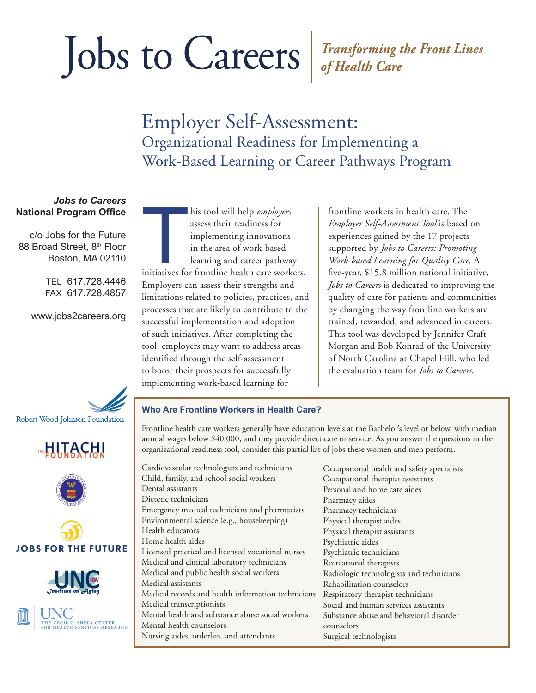### Employer Self-Assessment: Organizational Readiness for Implementing a Work-Based Learning or Career Pathways Program

### *Jobs to Careers* **National Program Office**

c/o Jobs for the Future 88 Broad Street, 8th Floor Boston, MA 02110

> TEL 617.728.4446 FAX 617.728.4857

www.jobs2careers.org













his tool will help *employers*<br>assess their readiness for<br>implementing innovations<br>in the area of work-based<br>learning and career pathway<br>initiatives for frontline health care workers. his tool will help *employers* assess their readiness for implementing innovations in the area of work-based learning and career pathway Employers can assess their strengths and limitations related to policies, practices, and processes that are likely to contribute to the successful implementation and adoption of such initiatives. After completing the tool, employers may want to address areas identified through the self-assessment to boost their prospects for successfully implementing work-based learning for

frontline workers in health care. The *Employer Self-Assessment Tool* is based on experiences gained by the 17 projects supported by *Jobs to Careers: Promoting Work-based Learning for Quality Care*. A five-year, \$15.8 million national initiative, *Jobs to Careers* is dedicated to improving the quality of care for patients and communities by changing the way frontline workers are trained, rewarded, and advanced in careers. This tool was developed by Jennifer Craft Morgan and Bob Konrad of the University of North Carolina at Chapel Hill, who led the evaluation team for *Jobs to Careers*.

#### **Who Are Frontline Workers in Health Care?**

Frontline health care workers generally have education levels at the Bachelor's level or below, with median annual wages below \$40,000, and they provide direct care or service. As you answer the questions in the organizational readiness tool, consider this partial list of jobs these women and men perform.

Cardiovascular technologists and technicians Child, family, and school social workers Dental assistants Dietetic technicians Emergency medical technicians and pharmacists Environmental science (e.g., housekeeping) Health educators Home health aides Licensed practical and licensed vocational nurses Medical and clinical laboratory technicians Medical and public health social workers Medical assistants Medical records and health information technicians Medical transcriptionists Mental health and substance abuse social workers Mental health counselors Nursing aides, orderlies, and attendants

Occupational health and safety specialists Occupational therapist assistants Personal and home care aides Pharmacy aides Pharmacy technicians Physical therapist aides Physical therapist assistants Psychiatric aides Psychiatric technicians Recreational therapists Radiologic technologists and technicians Rehabilitation counselors Respiratory therapist technicians Social and human services assistants Substance abuse and behavioral disorder counselors Surgical technologists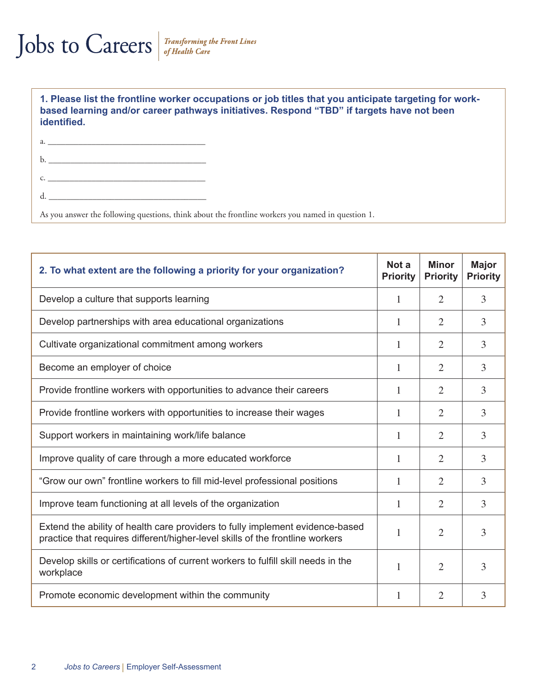**1. Please list the frontline worker occupations or job titles that you anticipate targeting for workbased learning and/or career pathways initiatives. Respond "TBD" if targets have not been identified.** 

| $\mathbf{b}$ . |  |
|----------------|--|
| $\mathsf{C}$ . |  |
|                |  |
|                |  |

As you answer the following questions, think about the frontline workers you named in question 1.

| 2. To what extent are the following a priority for your organization?                                                                                          | Not a<br><b>Priority</b> | <b>Minor</b><br><b>Priority</b> | <b>Major</b><br><b>Priority</b> |
|----------------------------------------------------------------------------------------------------------------------------------------------------------------|--------------------------|---------------------------------|---------------------------------|
| Develop a culture that supports learning                                                                                                                       | 1                        | $\overline{2}$                  | $\overline{3}$                  |
| Develop partnerships with area educational organizations                                                                                                       | 1                        | $\overline{2}$                  | 3                               |
| Cultivate organizational commitment among workers                                                                                                              | 1                        | 2                               | 3                               |
| Become an employer of choice                                                                                                                                   | 1                        | $\overline{2}$                  | 3                               |
| Provide frontline workers with opportunities to advance their careers                                                                                          | 1                        | 2                               | 3                               |
| Provide frontline workers with opportunities to increase their wages                                                                                           | 1                        | $\overline{2}$                  | 3                               |
| Support workers in maintaining work/life balance                                                                                                               | 1                        | $\overline{2}$                  | 3                               |
| Improve quality of care through a more educated workforce                                                                                                      | 1                        | 2                               | 3                               |
| "Grow our own" frontline workers to fill mid-level professional positions                                                                                      | 1                        | 2                               | 3                               |
| Improve team functioning at all levels of the organization                                                                                                     | 1                        | 2                               | 3                               |
| Extend the ability of health care providers to fully implement evidence-based<br>practice that requires different/higher-level skills of the frontline workers | 1                        | 2                               | 3                               |
| Develop skills or certifications of current workers to fulfill skill needs in the<br>workplace                                                                 | 1                        | 2                               | 3                               |
| Promote economic development within the community                                                                                                              | $\mathbf{1}$             | $\overline{2}$                  | 3                               |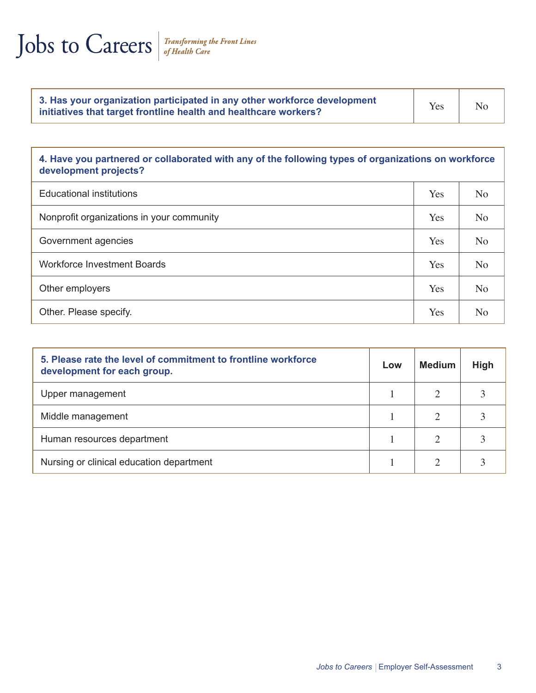|  | Jobs to Careers |  |
|--|-----------------|--|
|  |                 |  |

| 3. Has your organization participated in any other workforce development<br>initiatives that target frontline health and healthcare workers? | Yes | N <sub>o</sub> |
|----------------------------------------------------------------------------------------------------------------------------------------------|-----|----------------|
|----------------------------------------------------------------------------------------------------------------------------------------------|-----|----------------|

### **4. Have you partnered or collaborated with any of the following types of organizations on workforce development projects?**

| <b>Educational institutions</b>           | Yes | N <sub>o</sub> |
|-------------------------------------------|-----|----------------|
| Nonprofit organizations in your community | Yes | N <sub>o</sub> |
| Government agencies                       | Yes | N <sub>o</sub> |
| <b>Workforce Investment Boards</b>        | Yes | N <sub>o</sub> |
| Other employers                           | Yes | N <sub>o</sub> |
| Other. Please specify.                    | Yes | N <sub>o</sub> |

| 5. Please rate the level of commitment to frontline workforce<br>development for each group. | Low | Medium                | High |
|----------------------------------------------------------------------------------------------|-----|-----------------------|------|
| Upper management                                                                             |     | $\mathcal{D}_{\cdot}$ |      |
| Middle management                                                                            |     |                       |      |
| Human resources department                                                                   |     |                       |      |
| Nursing or clinical education department                                                     |     |                       |      |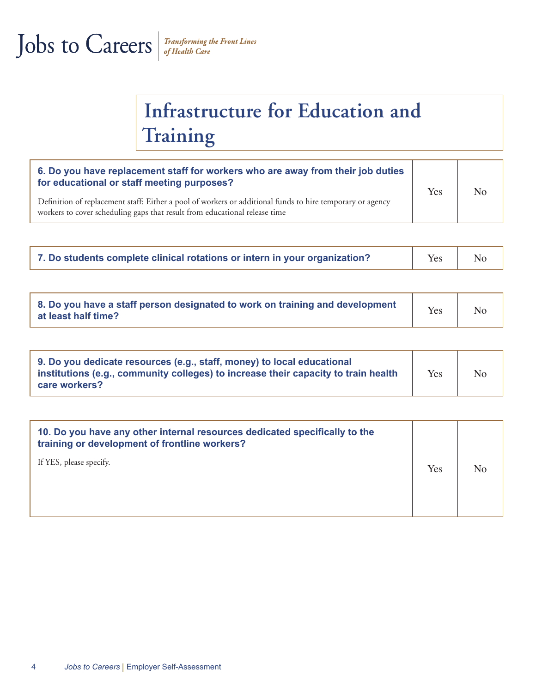### **Infrastructure for Education and Training**

| 6. Do you have replacement staff for workers who are away from their job duties<br>for educational or staff meeting purposes?                                                           | Yes | No |
|-----------------------------------------------------------------------------------------------------------------------------------------------------------------------------------------|-----|----|
| Definition of replacement staff: Either a pool of workers or additional funds to hire temporary or agency<br>workers to cover scheduling gaps that result from educational release time |     |    |

| 7. Do students complete clinical rotations or intern in your organization? | Yes | No |
|----------------------------------------------------------------------------|-----|----|
|----------------------------------------------------------------------------|-----|----|

| 8. Do you have a staff person designated to work on training and development<br>at least half time? | Yes |  |
|-----------------------------------------------------------------------------------------------------|-----|--|
|-----------------------------------------------------------------------------------------------------|-----|--|

| 9. Do you dedicate resources (e.g., staff, money) to local educational<br>institutions (e.g., community colleges) to increase their capacity to train health<br>care workers? | Yes | N <sub>o</sub> |  |
|-------------------------------------------------------------------------------------------------------------------------------------------------------------------------------|-----|----------------|--|
|-------------------------------------------------------------------------------------------------------------------------------------------------------------------------------|-----|----------------|--|

| 10. Do you have any other internal resources dedicated specifically to the<br>training or development of frontline workers? |     |    |
|-----------------------------------------------------------------------------------------------------------------------------|-----|----|
| If YES, please specify.                                                                                                     | Yes | No |
|                                                                                                                             |     |    |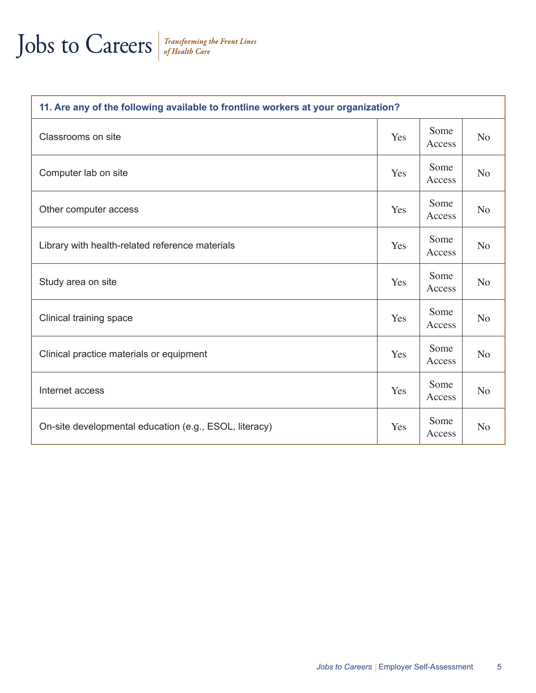| 11. Are any of the following available to frontline workers at your organization? |     |                |                |
|-----------------------------------------------------------------------------------|-----|----------------|----------------|
| Classrooms on site                                                                | Yes | Some<br>Access | N <sub>o</sub> |
| Computer lab on site                                                              | Yes | Some<br>Access | N <sub>o</sub> |
| Other computer access                                                             | Yes | Some<br>Access | N <sub>o</sub> |
| Library with health-related reference materials                                   | Yes | Some<br>Access | N <sub>o</sub> |
| Study area on site                                                                | Yes | Some<br>Access | N <sub>o</sub> |
| Clinical training space                                                           | Yes | Some<br>Access | N <sub>o</sub> |
| Clinical practice materials or equipment                                          | Yes | Some<br>Access | N <sub>o</sub> |
| Internet access                                                                   | Yes | Some<br>Access | N <sub>o</sub> |
| On-site developmental education (e.g., ESOL, literacy)                            | Yes | Some<br>Access | N <sub>o</sub> |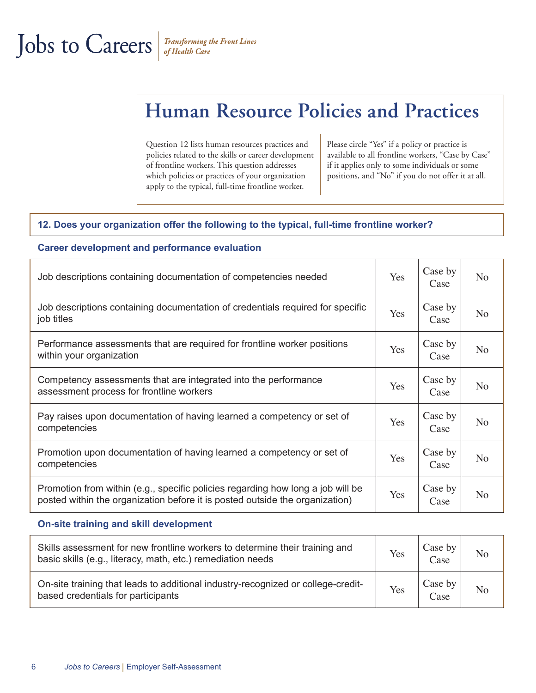**Career development and performance evaluation**

### **Human Resource Policies and Practices**

Question 12 lists human resources practices and policies related to the skills or career development of frontline workers. This question addresses which policies or practices of your organization apply to the typical, full-time frontline worker.

Please circle "Yes" if a policy or practice is available to all frontline workers, "Case by Case" if it applies only to some individuals or some positions, and "No" if you do not offer it at all.

#### **12. Does your organization offer the following to the typical, full-time frontline worker?**

| Job descriptions containing documentation of competencies needed                                                                                                | Yes | Case by<br>Case | N <sub>o</sub> |
|-----------------------------------------------------------------------------------------------------------------------------------------------------------------|-----|-----------------|----------------|
| Job descriptions containing documentation of credentials required for specific<br>job titles                                                                    | Yes | Case by<br>Case | N <sub>o</sub> |
| Performance assessments that are required for frontline worker positions<br>within your organization                                                            | Yes | Case by<br>Case | N <sub>o</sub> |
| Competency assessments that are integrated into the performance<br>assessment process for frontline workers                                                     | Yes | Case by<br>Case | N <sub>o</sub> |
| Pay raises upon documentation of having learned a competency or set of<br>competencies                                                                          | Yes | Case by<br>Case | N <sub>o</sub> |
| Promotion upon documentation of having learned a competency or set of<br>competencies                                                                           | Yes | Case by<br>Case | N <sub>o</sub> |
| Promotion from within (e.g., specific policies regarding how long a job will be<br>posted within the organization before it is posted outside the organization) | Yes | Case by<br>Case | N <sub>o</sub> |

#### **On-site training and skill development**

| Skills assessment for new frontline workers to determine their training and<br>basic skills (e.g., literacy, math, etc.) remediation needs | Yes | Case by<br>Case | N <sub>o</sub> |
|--------------------------------------------------------------------------------------------------------------------------------------------|-----|-----------------|----------------|
| On-site training that leads to additional industry-recognized or college-credit-<br>based credentials for participants                     | Yes | Case by<br>Case | No             |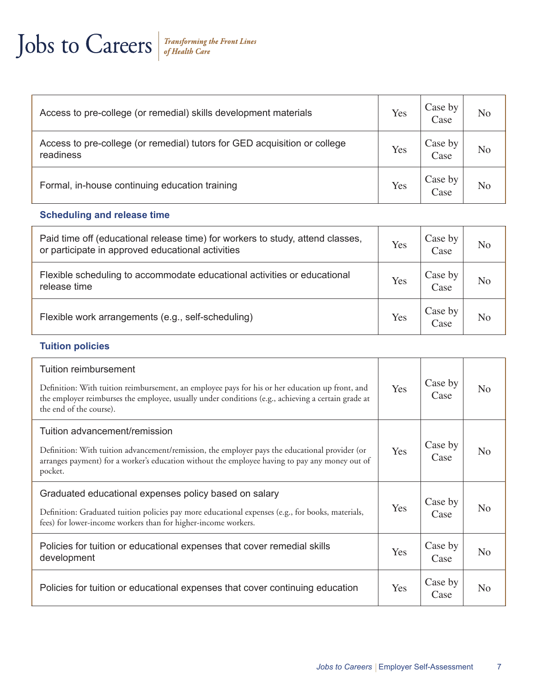| Access to pre-college (or remedial) skills development materials                       | Yes | Case by<br>Case | N <sub>o</sub> |
|----------------------------------------------------------------------------------------|-----|-----------------|----------------|
| Access to pre-college (or remedial) tutors for GED acquisition or college<br>readiness | Yes | Case by<br>Case | No             |
| Formal, in-house continuing education training                                         | Yes | Case by<br>Case | No             |

#### **Scheduling and release time**

| Paid time off (educational release time) for workers to study, attend classes,<br>or participate in approved educational activities | Yes | Case by<br>Case | N <sub>o</sub> |
|-------------------------------------------------------------------------------------------------------------------------------------|-----|-----------------|----------------|
| Flexible scheduling to accommodate educational activities or educational<br>release time                                            | Yes | Case by<br>Case | No             |
| Flexible work arrangements (e.g., self-scheduling)                                                                                  | Yes | Case by<br>Case | N <sub>o</sub> |

### **Tuition policies**

| Tuition reimbursement                                                                                                                                                                                                            |     |                 |                |
|----------------------------------------------------------------------------------------------------------------------------------------------------------------------------------------------------------------------------------|-----|-----------------|----------------|
| Definition: With tuition reimbursement, an employee pays for his or her education up front, and<br>the employer reimburses the employee, usually under conditions (e.g., achieving a certain grade at<br>the end of the course). | Yes | Case by<br>Case | N <sub>o</sub> |
| Tuition advancement/remission                                                                                                                                                                                                    |     |                 |                |
| Definition: With tuition advancement/remission, the employer pays the educational provider (or<br>arranges payment) for a worker's education without the employee having to pay any money out of<br>pocket.                      | Yes | Case by<br>Case | N <sub>o</sub> |
| Graduated educational expenses policy based on salary                                                                                                                                                                            |     | Case by         |                |
| Definition: Graduated tuition policies pay more educational expenses (e.g., for books, materials,<br>fees) for lower-income workers than for higher-income workers.                                                              | Yes | Case            | N <sub>o</sub> |
| Policies for tuition or educational expenses that cover remedial skills<br>development                                                                                                                                           | Yes | Case by<br>Case | N <sub>o</sub> |
| Policies for tuition or educational expenses that cover continuing education                                                                                                                                                     | Yes | Case by<br>Case | N <sub>o</sub> |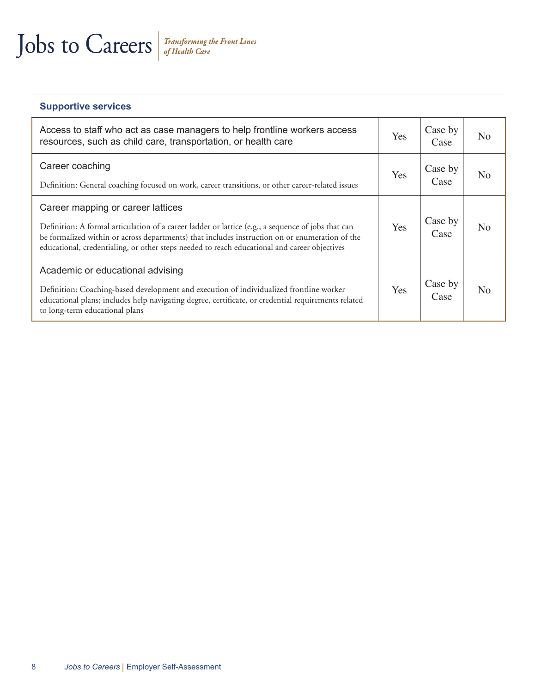#### **Supportive services**

| Access to staff who act as case managers to help frontline workers access<br>resources, such as child care, transportation, or health care                                                                                                                                                                                                | Yes | Case by<br>Case | N <sub>o</sub> |
|-------------------------------------------------------------------------------------------------------------------------------------------------------------------------------------------------------------------------------------------------------------------------------------------------------------------------------------------|-----|-----------------|----------------|
| Career coaching<br>Definition: General coaching focused on work, career transitions, or other career-related issues                                                                                                                                                                                                                       | Yes | Case by<br>Case | N <sub>0</sub> |
| Career mapping or career lattices<br>Definition: A formal articulation of a career ladder or lattice (e.g., a sequence of jobs that can<br>be formalized within or across departments) that includes instruction on or enumeration of the<br>educational, credentialing, or other steps needed to reach educational and career objectives | Yes | Case by<br>Case | N <sub>0</sub> |
| Academic or educational advising<br>Definition: Coaching-based development and execution of individualized frontline worker<br>educational plans; includes help navigating degree, certificate, or credential requirements related<br>to long-term educational plans                                                                      | Yes | Case by<br>Case | N <sub>0</sub> |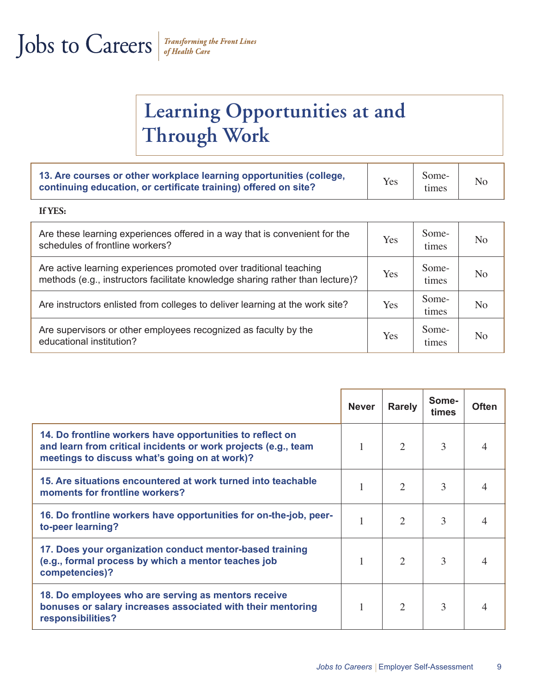### **Learning Opportunities at and Through Work**

| 13. Are courses or other workplace learning opportunities (college,<br>continuing education, or certificate training) offered on site? | Yes | Some-<br>times |  |
|----------------------------------------------------------------------------------------------------------------------------------------|-----|----------------|--|
|----------------------------------------------------------------------------------------------------------------------------------------|-----|----------------|--|

#### **If YES:**

| Are these learning experiences offered in a way that is convenient for the<br>schedules of frontline workers?                                       | Yes | Some-<br>times | N <sub>o</sub> |
|-----------------------------------------------------------------------------------------------------------------------------------------------------|-----|----------------|----------------|
| Are active learning experiences promoted over traditional teaching<br>methods (e.g., instructors facilitate knowledge sharing rather than lecture)? | Yes | Some-<br>times | N <sub>o</sub> |
| Are instructors enlisted from colleges to deliver learning at the work site?                                                                        | Yes | Some-<br>times | No             |
| Are supervisors or other employees recognized as faculty by the<br>educational institution?                                                         | Yes | Some-<br>times | N <sub>0</sub> |

|                                                                                                                                                                              | <b>Never</b> | <b>Rarely</b>  | Some-<br>times | <b>Often</b> |
|------------------------------------------------------------------------------------------------------------------------------------------------------------------------------|--------------|----------------|----------------|--------------|
| 14. Do frontline workers have opportunities to reflect on<br>and learn from critical incidents or work projects (e.g., team<br>meetings to discuss what's going on at work)? |              | 2              | 3              |              |
| 15. Are situations encountered at work turned into teachable<br>moments for frontline workers?                                                                               |              | 2              | 3              |              |
| 16. Do frontline workers have opportunities for on-the-job, peer-<br>to-peer learning?                                                                                       |              | $\overline{2}$ | 3              |              |
| 17. Does your organization conduct mentor-based training<br>(e.g., formal process by which a mentor teaches job<br>competencies)?                                            |              | 2              | 3              |              |
| 18. Do employees who are serving as mentors receive<br>bonuses or salary increases associated with their mentoring<br>responsibilities?                                      |              | $\overline{2}$ | 3              |              |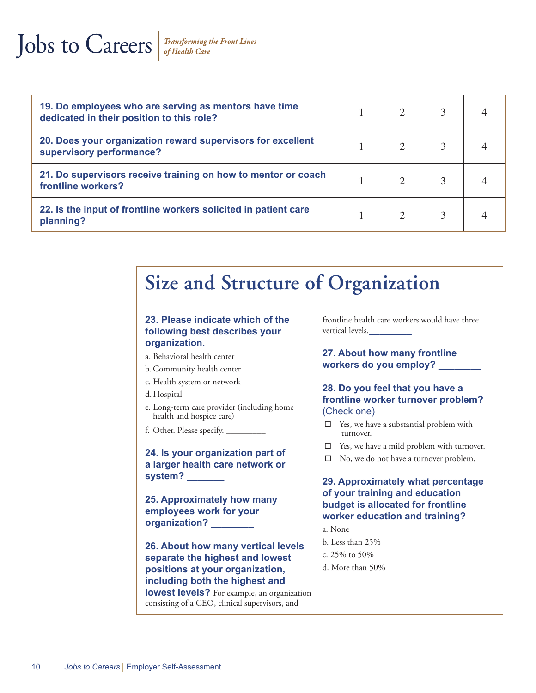### Jobs to Careers

| 19. Do employees who are serving as mentors have time<br>dedicated in their position to this role? |  |  |
|----------------------------------------------------------------------------------------------------|--|--|
| 20. Does your organization reward supervisors for excellent<br>supervisory performance?            |  |  |
| 21. Do supervisors receive training on how to mentor or coach<br>frontline workers?                |  |  |
| 22. Is the input of frontline workers solicited in patient care<br>planning?                       |  |  |

### **Size and Structure of Organization**

#### **23. Please indicate which of the following best describes your organization.**

- a. Behavioral health center
- b.Community health center
- c. Health system or network
- d. Hospital
- e. Long-term care provider (including home health and hospice care)
- f. Other. Please specify. \_\_\_\_\_\_\_\_\_

**24. Is your organization part of a larger health care network or system? \_\_\_\_\_\_\_**

**25. Approximately how many employees work for your organization? \_\_\_\_\_\_\_\_**

**26. About how many vertical levels separate the highest and lowest positions at your organization, including both the highest and lowest levels?** For example, an organization

consisting of a CEO, clinical supervisors, and

frontline health care workers would have three vertical levels.**\_\_\_\_\_\_\_\_**

**27. About how many frontline workers do you employ? \_\_\_\_\_\_\_\_**

#### **28. Do you feel that you have a frontline worker turnover problem?**  (Check one)

- $\Box$  Yes, we have a substantial problem with turnover.
- □ Yes, we have a mild problem with turnover.
- □ No, we do not have a turnover problem.

#### **29. Approximately what percentage of your training and education budget is allocated for frontline worker education and training?**

- a. None
- b. Less than 25%
- c. 25% to 50%
- d. More than 50%